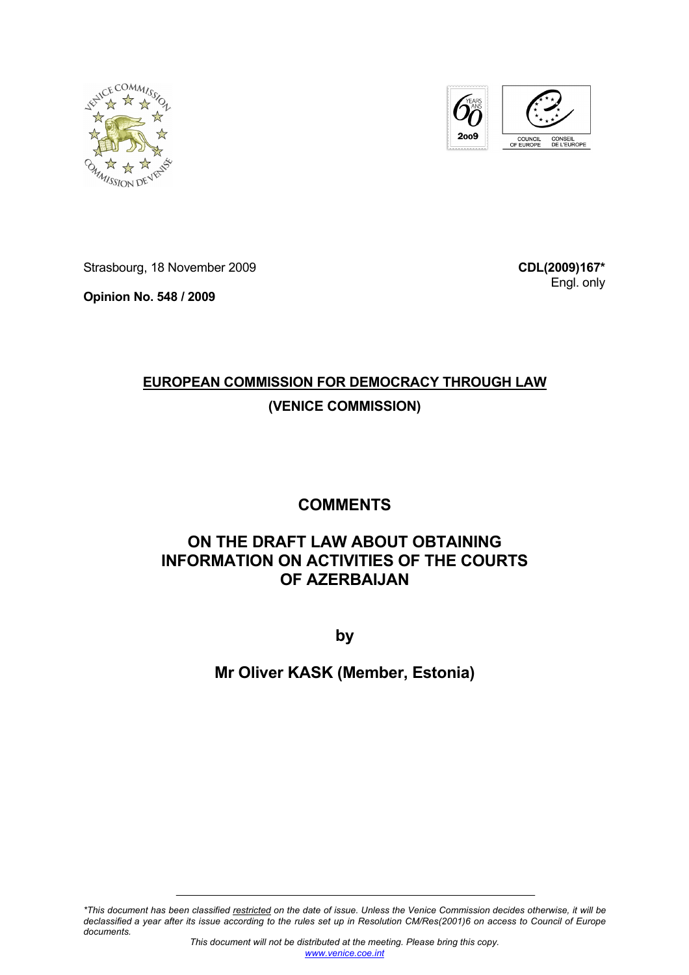



Strasbourg, 18 November 2009

**Opinion No. 548 / 2009** 

**CDL(2009)167\*** Engl. only

# **EUROPEAN COMMISSION FOR DEMOCRACY THROUGH LAW**

## **(VENICE COMMISSION)**

## **COMMENTS**

## **ON THE DRAFT LAW ABOUT OBTAINING INFORMATION ON ACTIVITIES OF THE COURTS OF AZERBAIJAN**

**by** 

## **Mr Oliver KASK (Member, Estonia)**

*\*This document has been classified restricted on the date of issue. Unless the Venice Commission decides otherwise, it will be declassified a year after its issue according to the rules set up in Resolution CM/Res(2001)6 on access to Council of Europe documents.*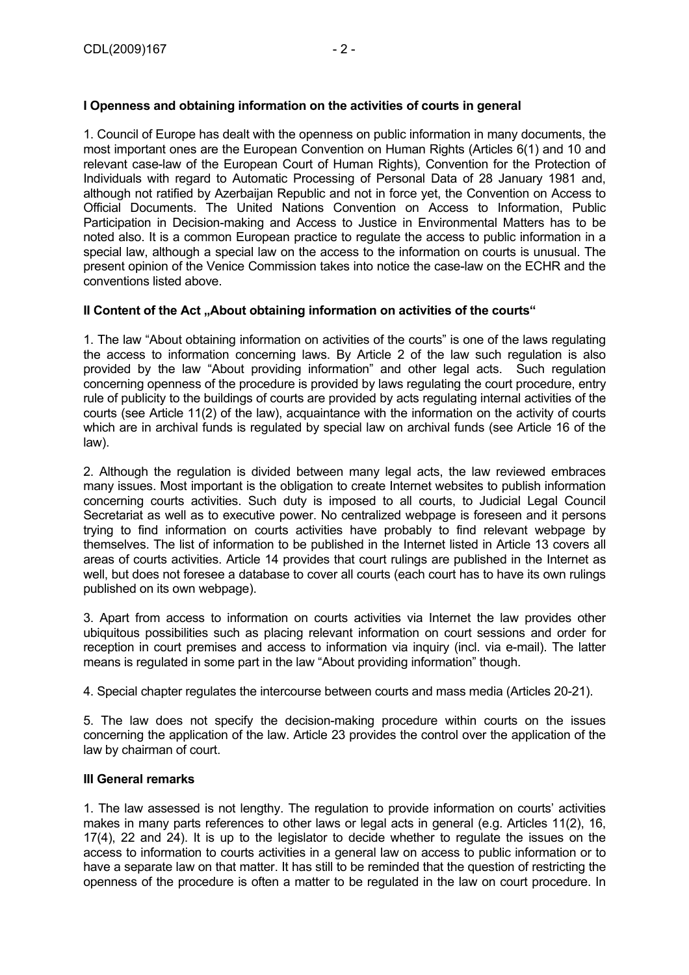### **I Openness and obtaining information on the activities of courts in general**

1. Council of Europe has dealt with the openness on public information in many documents, the most important ones are the European Convention on Human Rights (Articles 6(1) and 10 and relevant case-law of the European Court of Human Rights), Convention for the Protection of Individuals with regard to Automatic Processing of Personal Data of 28 January 1981 and, although not ratified by Azerbaijan Republic and not in force yet, the Convention on Access to Official Documents. The United Nations Convention on Access to Information, Public Participation in Decision-making and Access to Justice in Environmental Matters has to be noted also. It is a common European practice to regulate the access to public information in a special law, although a special law on the access to the information on courts is unusual. The present opinion of the Venice Commission takes into notice the case-law on the ECHR and the conventions listed above.

#### **II Content of the Act , About obtaining information on activities of the courts "**

1. The law "About obtaining information on activities of the courts" is one of the laws regulating the access to information concerning laws. By Article 2 of the law such regulation is also provided by the law "About providing information" and other legal acts. Such regulation concerning openness of the procedure is provided by laws regulating the court procedure, entry rule of publicity to the buildings of courts are provided by acts regulating internal activities of the courts (see Article 11(2) of the law), acquaintance with the information on the activity of courts which are in archival funds is regulated by special law on archival funds (see Article 16 of the law).

2. Although the regulation is divided between many legal acts, the law reviewed embraces many issues. Most important is the obligation to create Internet websites to publish information concerning courts activities. Such duty is imposed to all courts, to Judicial Legal Council Secretariat as well as to executive power. No centralized webpage is foreseen and it persons trying to find information on courts activities have probably to find relevant webpage by themselves. The list of information to be published in the Internet listed in Article 13 covers all areas of courts activities. Article 14 provides that court rulings are published in the Internet as well, but does not foresee a database to cover all courts (each court has to have its own rulings published on its own webpage).

3. Apart from access to information on courts activities via Internet the law provides other ubiquitous possibilities such as placing relevant information on court sessions and order for reception in court premises and access to information via inquiry (incl. via e-mail). The latter means is regulated in some part in the law "About providing information" though.

4. Special chapter regulates the intercourse between courts and mass media (Articles 20-21).

5. The law does not specify the decision-making procedure within courts on the issues concerning the application of the law. Article 23 provides the control over the application of the law by chairman of court.

#### **III General remarks**

1. The law assessed is not lengthy. The regulation to provide information on courts' activities makes in many parts references to other laws or legal acts in general (e.g. Articles 11(2), 16, 17(4), 22 and 24). It is up to the legislator to decide whether to regulate the issues on the access to information to courts activities in a general law on access to public information or to have a separate law on that matter. It has still to be reminded that the question of restricting the openness of the procedure is often a matter to be regulated in the law on court procedure. In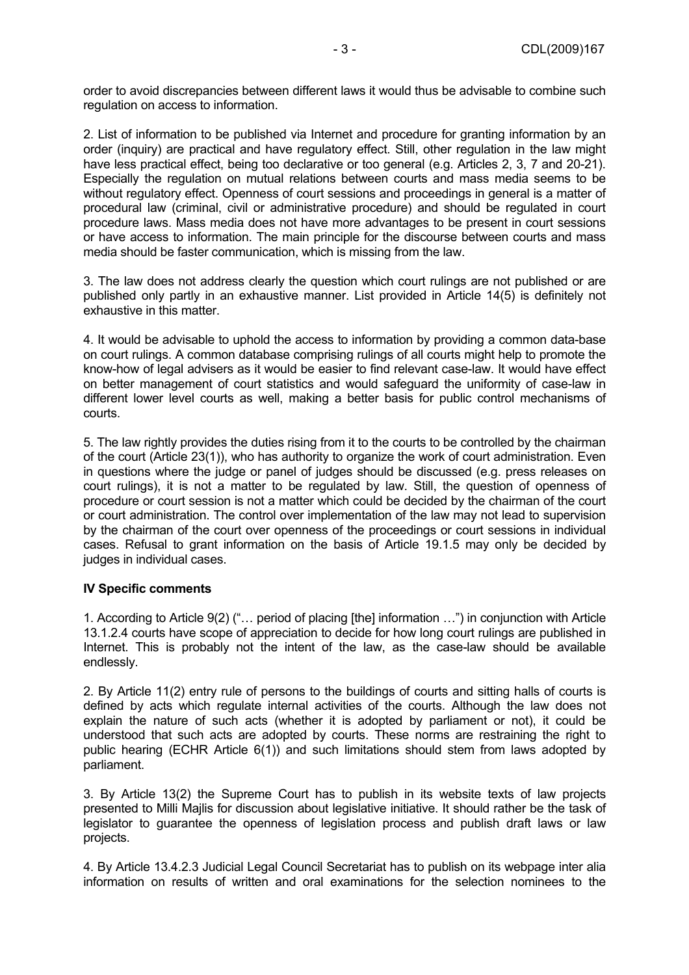order to avoid discrepancies between different laws it would thus be advisable to combine such regulation on access to information.

2. List of information to be published via Internet and procedure for granting information by an order (inquiry) are practical and have regulatory effect. Still, other regulation in the law might have less practical effect, being too declarative or too general (e.g. Articles 2, 3, 7 and 20-21). Especially the regulation on mutual relations between courts and mass media seems to be without regulatory effect. Openness of court sessions and proceedings in general is a matter of procedural law (criminal, civil or administrative procedure) and should be regulated in court procedure laws. Mass media does not have more advantages to be present in court sessions or have access to information. The main principle for the discourse between courts and mass media should be faster communication, which is missing from the law.

3. The law does not address clearly the question which court rulings are not published or are published only partly in an exhaustive manner. List provided in Article 14(5) is definitely not exhaustive in this matter.

4. It would be advisable to uphold the access to information by providing a common data-base on court rulings. A common database comprising rulings of all courts might help to promote the know-how of legal advisers as it would be easier to find relevant case-law. It would have effect on better management of court statistics and would safeguard the uniformity of case-law in different lower level courts as well, making a better basis for public control mechanisms of courts.

5. The law rightly provides the duties rising from it to the courts to be controlled by the chairman of the court (Article 23(1)), who has authority to organize the work of court administration. Even in questions where the judge or panel of judges should be discussed (e.g. press releases on court rulings), it is not a matter to be regulated by law. Still, the question of openness of procedure or court session is not a matter which could be decided by the chairman of the court or court administration. The control over implementation of the law may not lead to supervision by the chairman of the court over openness of the proceedings or court sessions in individual cases. Refusal to grant information on the basis of Article 19.1.5 may only be decided by judges in individual cases.

#### **IV Specific comments**

1. According to Article 9(2) ("… period of placing [the] information …") in conjunction with Article 13.1.2.4 courts have scope of appreciation to decide for how long court rulings are published in Internet. This is probably not the intent of the law, as the case-law should be available endlessly.

2. By Article 11(2) entry rule of persons to the buildings of courts and sitting halls of courts is defined by acts which regulate internal activities of the courts. Although the law does not explain the nature of such acts (whether it is adopted by parliament or not), it could be understood that such acts are adopted by courts. These norms are restraining the right to public hearing (ECHR Article 6(1)) and such limitations should stem from laws adopted by parliament.

3. By Article 13(2) the Supreme Court has to publish in its website texts of law projects presented to Milli Majlis for discussion about legislative initiative. It should rather be the task of legislator to guarantee the openness of legislation process and publish draft laws or law projects.

4. By Article 13.4.2.3 Judicial Legal Council Secretariat has to publish on its webpage inter alia information on results of written and oral examinations for the selection nominees to the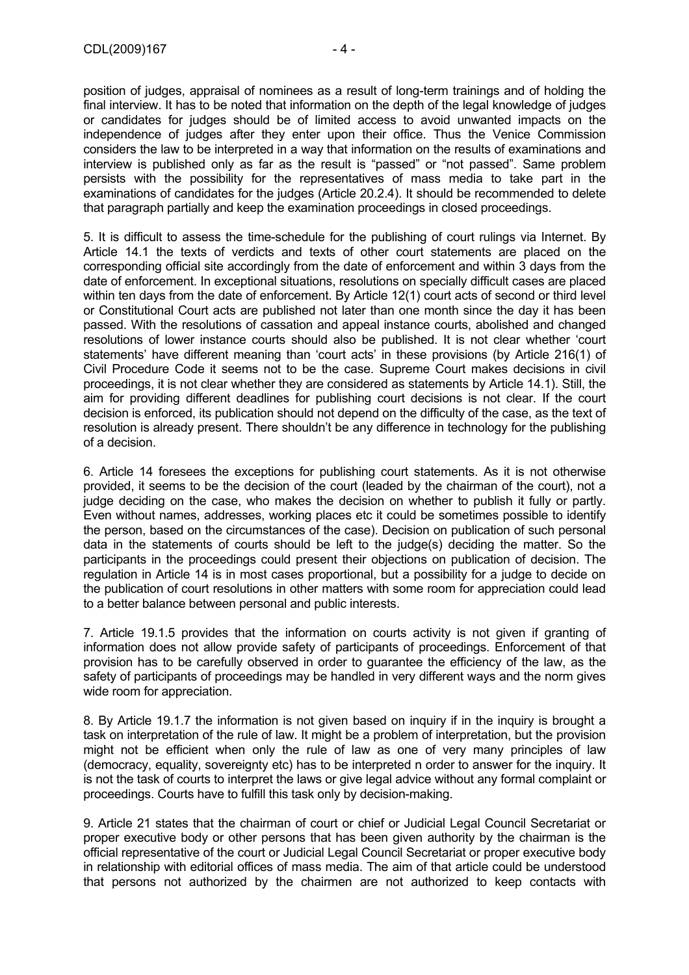position of judges, appraisal of nominees as a result of long-term trainings and of holding the final interview. It has to be noted that information on the depth of the legal knowledge of judges or candidates for judges should be of limited access to avoid unwanted impacts on the independence of judges after they enter upon their office. Thus the Venice Commission considers the law to be interpreted in a way that information on the results of examinations and interview is published only as far as the result is "passed" or "not passed". Same problem persists with the possibility for the representatives of mass media to take part in the examinations of candidates for the judges (Article 20.2.4). It should be recommended to delete that paragraph partially and keep the examination proceedings in closed proceedings.

5. It is difficult to assess the time-schedule for the publishing of court rulings via Internet. By Article 14.1 the texts of verdicts and texts of other court statements are placed on the corresponding official site accordingly from the date of enforcement and within 3 days from the date of enforcement. In exceptional situations, resolutions on specially difficult cases are placed within ten days from the date of enforcement. By Article 12(1) court acts of second or third level or Constitutional Court acts are published not later than one month since the day it has been passed. With the resolutions of cassation and appeal instance courts, abolished and changed resolutions of lower instance courts should also be published. It is not clear whether 'court statements' have different meaning than 'court acts' in these provisions (by Article 216(1) of Civil Procedure Code it seems not to be the case. Supreme Court makes decisions in civil proceedings, it is not clear whether they are considered as statements by Article 14.1). Still, the aim for providing different deadlines for publishing court decisions is not clear. If the court decision is enforced, its publication should not depend on the difficulty of the case, as the text of resolution is already present. There shouldn't be any difference in technology for the publishing of a decision.

6. Article 14 foresees the exceptions for publishing court statements. As it is not otherwise provided, it seems to be the decision of the court (leaded by the chairman of the court), not a judge deciding on the case, who makes the decision on whether to publish it fully or partly. Even without names, addresses, working places etc it could be sometimes possible to identify the person, based on the circumstances of the case). Decision on publication of such personal data in the statements of courts should be left to the judge(s) deciding the matter. So the participants in the proceedings could present their objections on publication of decision. The regulation in Article 14 is in most cases proportional, but a possibility for a judge to decide on the publication of court resolutions in other matters with some room for appreciation could lead to a better balance between personal and public interests.

7. Article 19.1.5 provides that the information on courts activity is not given if granting of information does not allow provide safety of participants of proceedings. Enforcement of that provision has to be carefully observed in order to guarantee the efficiency of the law, as the safety of participants of proceedings may be handled in very different ways and the norm gives wide room for appreciation.

8. By Article 19.1.7 the information is not given based on inquiry if in the inquiry is brought a task on interpretation of the rule of law. It might be a problem of interpretation, but the provision might not be efficient when only the rule of law as one of very many principles of law (democracy, equality, sovereignty etc) has to be interpreted n order to answer for the inquiry. It is not the task of courts to interpret the laws or give legal advice without any formal complaint or proceedings. Courts have to fulfill this task only by decision-making.

9. Article 21 states that the chairman of court or chief or Judicial Legal Council Secretariat or proper executive body or other persons that has been given authority by the chairman is the official representative of the court or Judicial Legal Council Secretariat or proper executive body in relationship with editorial offices of mass media. The aim of that article could be understood that persons not authorized by the chairmen are not authorized to keep contacts with